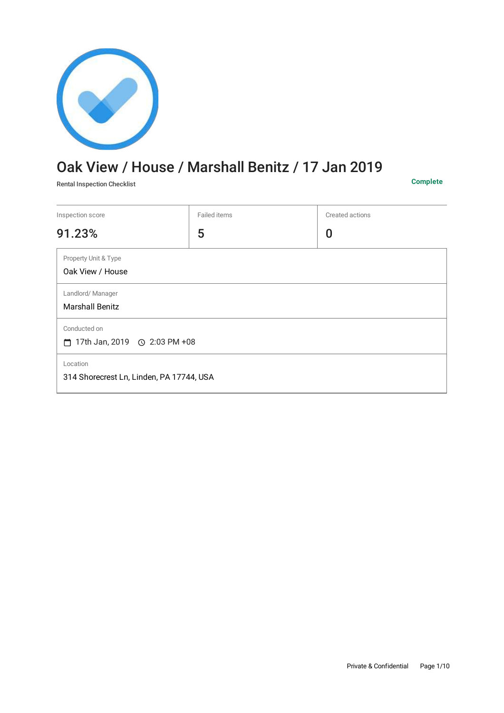

# Oak View / House / Marshall Benitz / 17 Jan 2019

Rental Inspection Checklist **Complete**

| Inspection score                                          | Failed items | Created actions |
|-----------------------------------------------------------|--------------|-----------------|
| 91.23%                                                    | 5            | 0               |
| Property Unit & Type<br>Oak View / House                  |              |                 |
| Landlord/Manager<br><b>Marshall Benitz</b>                |              |                 |
| Conducted on<br>$\Box$ 17th Jan, 2019 $\odot$ 2:03 PM +08 |              |                 |
| Location<br>314 Shorecrest Ln, Linden, PA 17744, USA      |              |                 |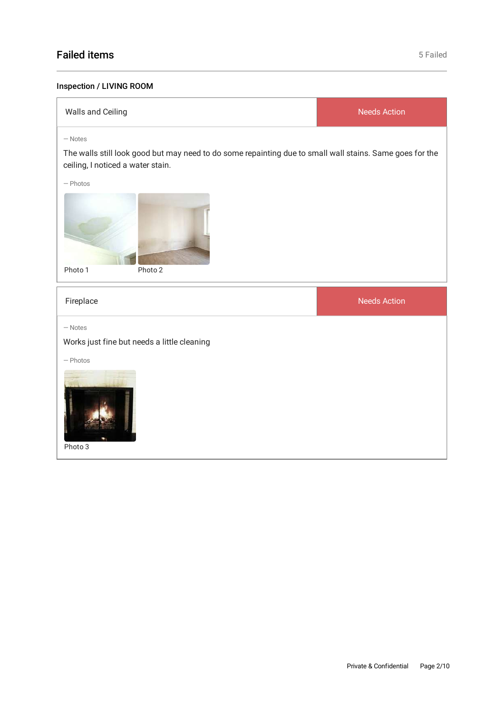## Failed items **Failed** items **Failed Failed Failed Failed Failed Failed Failed Failed Failed**

### Inspection / LIVING ROOM

| Walls and Ceiling                                                                                                                                          | <b>Needs Action</b> |
|------------------------------------------------------------------------------------------------------------------------------------------------------------|---------------------|
| $-$ Notes<br>The walls still look good but may need to do some repainting due to small wall stains. Same goes for the<br>ceiling, I noticed a water stain. |                     |
| $-$ Photos                                                                                                                                                 |                     |
| Photo 1<br>Photo 2                                                                                                                                         |                     |
| Fireplace                                                                                                                                                  | <b>Needs Action</b> |
| $-$ Notes<br>Works just fine but needs a little cleaning                                                                                                   |                     |
| $-$ Photos<br>Photo 3                                                                                                                                      |                     |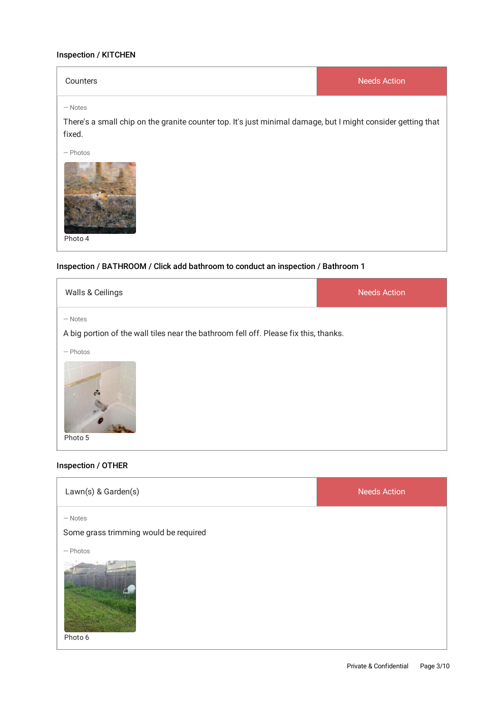#### Inspection / KITCHEN

| Counters | Needs Action |
|----------|--------------|
|          |              |

— Notes

There's a small chip on the granite counter top. It's just minimal damage, but I might consider getting that fixed.

— Photos



#### Inspection / BATHROOM / Click add bathroom to conduct an inspection / Bathroom 1

| Walls & Ceilings                                                                                              | <b>Needs Action</b> |
|---------------------------------------------------------------------------------------------------------------|---------------------|
| - Notes                                                                                                       |                     |
| A big portion of the wall tiles near the bathroom fell off. Please fix this, thanks.<br>$-$ Photos<br>Photo 5 |                     |

#### Inspection / OTHER

| Lawn(s) & Garden(s)                                | <b>Needs Action</b> |
|----------------------------------------------------|---------------------|
| $-$ Notes<br>Some grass trimming would be required |                     |
| $-$ Photos<br>Photo 6                              |                     |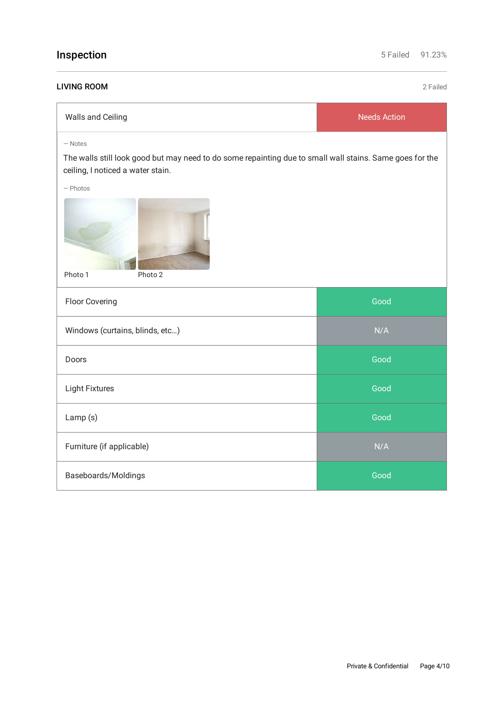| Inspection                                                                                                                                                               | 5 Failed            | 91.23%   |
|--------------------------------------------------------------------------------------------------------------------------------------------------------------------------|---------------------|----------|
| <b>LIVING ROOM</b>                                                                                                                                                       |                     | 2 Failed |
| Walls and Ceiling                                                                                                                                                        | <b>Needs Action</b> |          |
| $-$ Notes<br>The walls still look good but may need to do some repainting due to small wall stains. Same goes for the<br>ceiling, I noticed a water stain.<br>$-$ Photos |                     |          |
| Photo 1<br>Photo 2                                                                                                                                                       |                     |          |
| Floor Covering                                                                                                                                                           | Good                |          |
| Windows (curtains, blinds, etc)                                                                                                                                          | N/A                 |          |
| Doors                                                                                                                                                                    | Good                |          |
| <b>Light Fixtures</b>                                                                                                                                                    | Good                |          |
| Lamp (s)                                                                                                                                                                 | Good                |          |
| Furniture (if applicable)                                                                                                                                                | N/A                 |          |
| Baseboards/Moldings                                                                                                                                                      | Good                |          |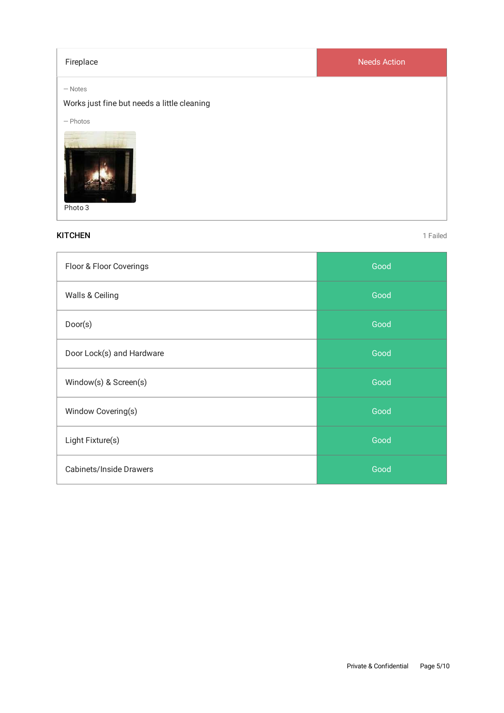| Fireplace                                                | <b>Needs Action</b> |
|----------------------------------------------------------|---------------------|
| $-$ Notes<br>Works just fine but needs a little cleaning |                     |
| $-$ Photos<br>Photo 3                                    |                     |

#### **KITCHEN** 1 Failed

| Floor & Floor Coverings        | Good |
|--------------------------------|------|
| Walls & Ceiling                | Good |
| Door(s)                        | Good |
| Door Lock(s) and Hardware      | Good |
| Window(s) & Screen(s)          | Good |
| Window Covering(s)             | Good |
| Light Fixture(s)               | Good |
| <b>Cabinets/Inside Drawers</b> | Good |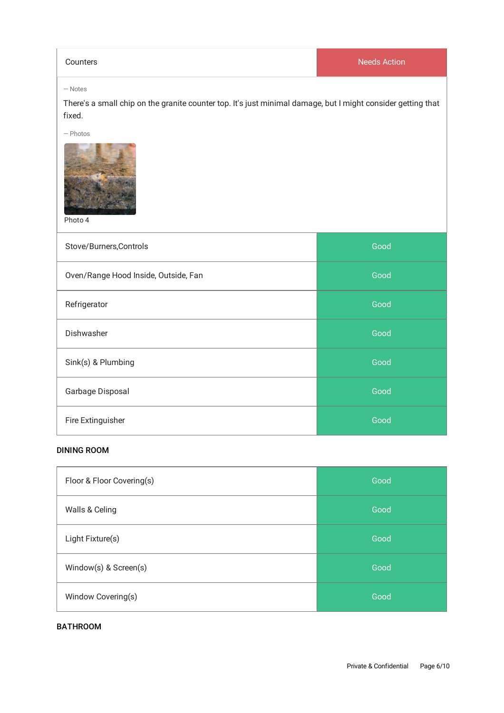**Counters** Needs Action

#### — Notes

There's a small chip on the granite counter top. It's just minimal damage, but I might consider getting that fixed.

— Photos



Photo 4

| Stove/Burners, Controls              | Good |
|--------------------------------------|------|
| Oven/Range Hood Inside, Outside, Fan | Good |
| Refrigerator                         | Good |
| Dishwasher                           | Good |
| Sink(s) & Plumbing                   | Good |
| Garbage Disposal                     | Good |
| Fire Extinguisher                    | Good |

#### DINING ROOM

| Floor & Floor Covering(s) | Good |
|---------------------------|------|
| Walls & Celing            | Good |
| Light Fixture(s)          | Good |
| Window(s) & Screen(s)     | Good |
| Window Covering(s)        | Good |

#### BATHROOM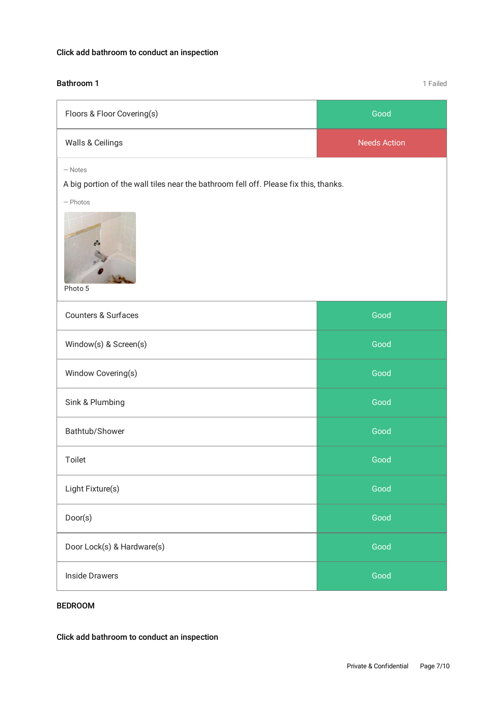### Click add bathroom to conduct an inspection

#### **Bathroom 1** and **1** Failed

| Floors & Floor Covering(s)                                                           | Good                |
|--------------------------------------------------------------------------------------|---------------------|
| Walls & Ceilings                                                                     | <b>Needs Action</b> |
| $-$ Notes                                                                            |                     |
| A big portion of the wall tiles near the bathroom fell off. Please fix this, thanks. |                     |
| $-$ Photos<br>Photo 5                                                                |                     |
| <b>Counters &amp; Surfaces</b>                                                       | Good                |
| Window(s) & Screen(s)                                                                | Good                |
| Window Covering(s)                                                                   | Good                |
| Sink & Plumbing                                                                      | Good                |
| Bathtub/Shower                                                                       | Good                |
| Toilet                                                                               | Good                |
| Light Fixture(s)                                                                     | Good                |
| Door(s)                                                                              | Good                |
| Door Lock(s) & Hardware(s)                                                           | Good                |
| <b>Inside Drawers</b>                                                                | Good                |

#### BEDROOM

Click add bathroom to conduct an inspection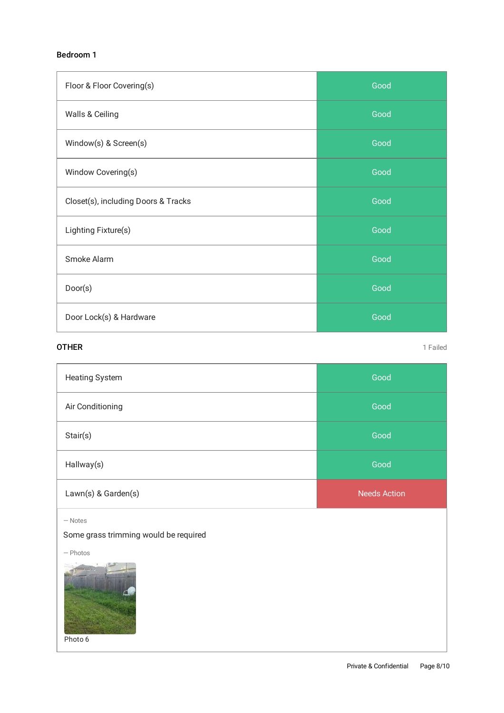#### Bedroom 1

| Floor & Floor Covering(s)           | Good |
|-------------------------------------|------|
| Walls & Ceiling                     | Good |
| Window(s) & Screen(s)               | Good |
| Window Covering(s)                  | Good |
| Closet(s), including Doors & Tracks | Good |
| Lighting Fixture(s)                 | Good |
| Smoke Alarm                         | Good |
| Door(s)                             | Good |
| Door Lock(s) & Hardware             | Good |

#### **OTHER** 1 Failed

| <b>Heating System</b> | Good                |
|-----------------------|---------------------|
| Air Conditioning      | Good                |
| Stair(s)              | Good                |
| Hallway(s)            | Good                |
| Lawn(s) & Garden(s)   | <b>Needs Action</b> |

— Notes

Some grass trimming would be required

— Photos



Photo 6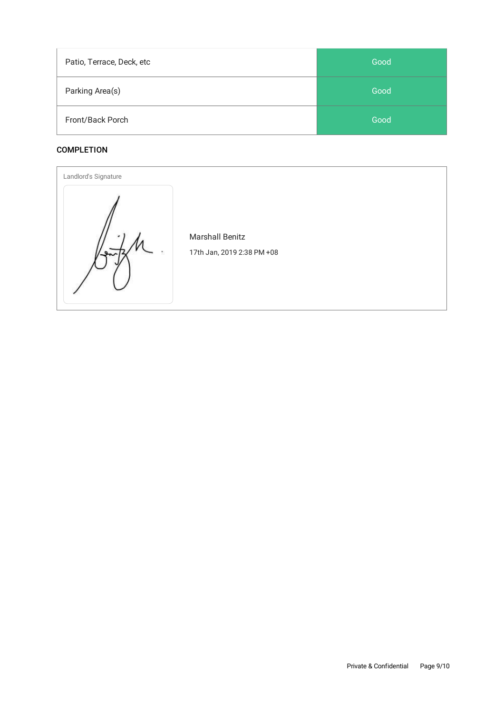| Patio, Terrace, Deck, etc | Good |
|---------------------------|------|
| Parking Area(s)           | Good |
| Front/Back Porch          | Good |

#### **COMPLETION**